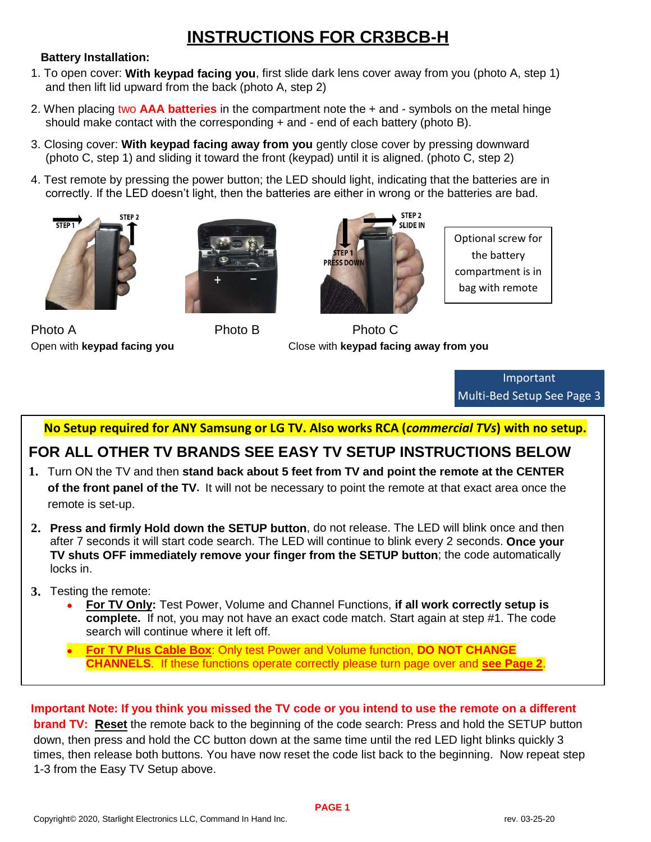## **INSTRUCTIONS FOR CR3BCB-H**

#### **Battery Installation:**

- 1. To open cover: **With keypad facing you**, first slide dark lens cover away from you (photo A, step 1) and then lift lid upward from the back (photo A, step 2)
- 2. When placing two **AAA batteries** in the compartment note the + and symbols on the metal hinge should make contact with the corresponding  $+$  and  $-$  end of each battery (photo B).
- 3. Closing cover: **With keypad facing away from you** gently close cover by pressing downward (photo C, step 1) and sliding it toward the front (keypad) until it is aligned. (photo C, step 2)
- 4. Test remote by pressing the power button; the LED should light, indicating that the batteries are in correctly. If the LED doesn't light, then the batteries are either in wrong or the batteries are bad.





Photo A Photo B Photo C



Optional screw for the battery compartment is in bag with remote

Open with **keypad facing you** Close with **keypad facing away from you**

Important Multi-Bed Setup See Page 3

 **No Setup required for ANY Samsung or LG TV. Also works RCA (***commercial TVs***) with no setup.**

### **FOR ALL OTHER TV BRANDS SEE EASY TV SETUP INSTRUCTIONS BELOW**

- **1.** Turn ON the TV and then **stand back about 5 feet from TV and point the remote at the CENTER of the front panel of the TV.** It will not be necessary to point the remote at that exact area once the remote is set-up.
- **2. Press and firmly Hold down the SETUP button**, do not release. The LED will blink once and then after 7 seconds it will start code search. The LED will continue to blink every 2 seconds. **Once your TV shuts OFF immediately remove your finger from the SETUP button**; the code automatically locks in.
- **3.** Testing the remote:
	- **For TV Only:** Test Power, Volume and Channel Functions, **if all work correctly setup is complete.** If not, you may not have an exact code match. Start again at step #1. The code search will continue where it left off.
	- **For TV Plus Cable Box**: Only test Power and Volume function, **DO NOT CHANGE CHANNELS**. If these functions operate correctly please turn page over and **see Page 2**.

### **Important Note: If you think you missed the TV code or you intend to use the remote on a different**

**brand TV: Reset** the remote back to the beginning of the code search: Press and hold the SETUP button down, then press and hold the CC button down at the same time until the red LED light blinks quickly 3 times, then release both buttons. You have now reset the code list back to the beginning. Now repeat step 1-3 from the Easy TV Setup above.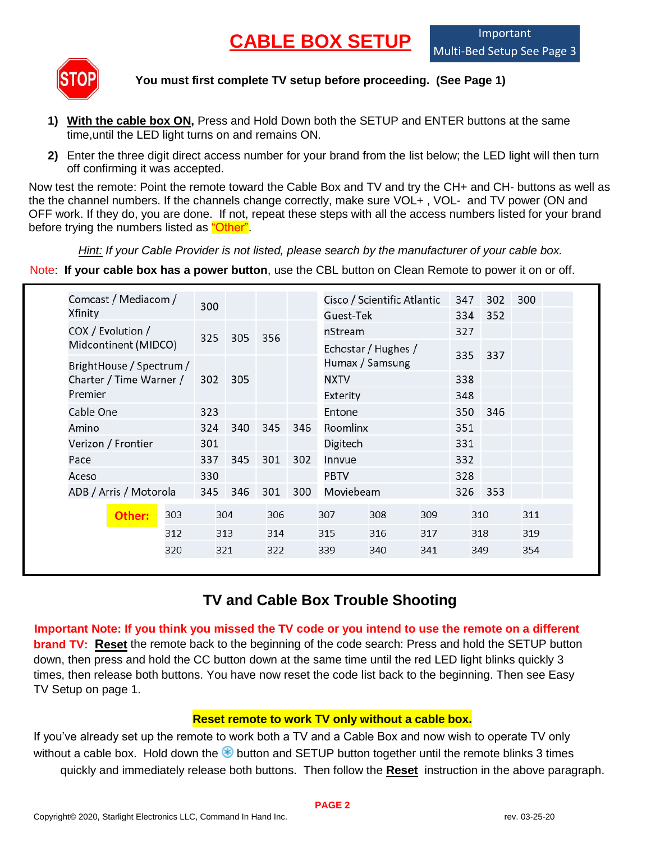# **CABLE BOX SETUP**



**You must first complete TV setup before proceeding. (See Page 1)**

- **1) With the cable box ON,** Press and Hold Down both the SETUP and ENTER buttons at the same time,until the LED light turns on and remains ON.
- **2)** Enter the three digit direct access number for your brand from the list below; the LED light will then turn off confirming it was accepted.

Now test the remote: Point the remote toward the Cable Box and TV and try the CH+ and CH- buttons as well as the the channel numbers. If the channels change correctly, make sure VOL+ , VOL- and TV power (ON and OFF work. If they do, you are done. If not, repeat these steps with all the access numbers listed for your brand before trying the numbers listed as "Other".

*Hint: If your Cable Provider is not listed, please search by the manufacturer of your cable box.*

Note: **If your cable box has a power button**, use the CBL button on Clean Remote to power it on or off.

| Comcast / Mediacom /     |     | 300 |     |     |     |                 | Cisco / Scientific Atlantic |     | 347 | 302 | 300 |  |
|--------------------------|-----|-----|-----|-----|-----|-----------------|-----------------------------|-----|-----|-----|-----|--|
| Xfinity                  |     |     |     |     |     | Guest-Tek       |                             |     | 334 | 352 |     |  |
| COX / Evolution /        |     | 325 | 305 | 356 |     | nStream         |                             |     | 327 |     |     |  |
| Midcontinent (MIDCO)     |     |     |     |     |     |                 | Echostar / Hughes /         |     |     |     |     |  |
| BrightHouse / Spectrum / |     |     |     |     |     | Humax / Samsung |                             | 335 | 337 |     |     |  |
| Charter / Time Warner /  |     | 302 | 305 |     |     | <b>NXTV</b>     |                             |     | 338 |     |     |  |
| Premier                  |     |     |     |     |     | Exterity        |                             |     | 348 |     |     |  |
| Cable One                |     | 323 |     |     |     | Entone          |                             |     | 350 | 346 |     |  |
| Amino                    |     | 324 | 340 | 345 | 346 | Roomlinx        |                             |     | 351 |     |     |  |
| Verizon / Frontier       |     | 301 |     |     |     | Digitech        |                             |     | 331 |     |     |  |
| Pace                     |     | 337 | 345 | 301 | 302 | Innvue          |                             |     | 332 |     |     |  |
| Aceso                    |     | 330 |     |     |     | PBTV            |                             |     | 328 |     |     |  |
| ADB / Arris / Motorola   |     | 345 | 346 | 301 | 300 | Moviebeam       |                             | 326 | 353 |     |     |  |
| Other:                   | 303 | 304 |     | 306 |     | 307             | 308                         | 309 |     | 310 | 311 |  |
|                          | 312 | 313 |     | 314 |     | 315             | 316                         | 317 |     | 318 | 319 |  |
|                          | 320 | 321 |     | 322 |     | 339             | 340                         | 341 |     | 349 | 354 |  |

### **TV and Cable Box Trouble Shooting**

**Important Note: If you think you missed the TV code or you intend to use the remote on a different brand TV: Reset** the remote back to the beginning of the code search: Press and hold the SETUP button down, then press and hold the CC button down at the same time until the red LED light blinks quickly 3 times, then release both buttons. You have now reset the code list back to the beginning. Then see Easy TV Setup on page 1.

#### **Reset remote to work TV only without a cable box.**

If you've already set up the remote to work both a TV and a Cable Box and now wish to operate TV only without a cable box. Hold down the  $\bigcirc$  button and SETUP button together until the remote blinks 3 times quickly and immediately release both buttons. Then follow the **Reset** instruction in the above paragraph.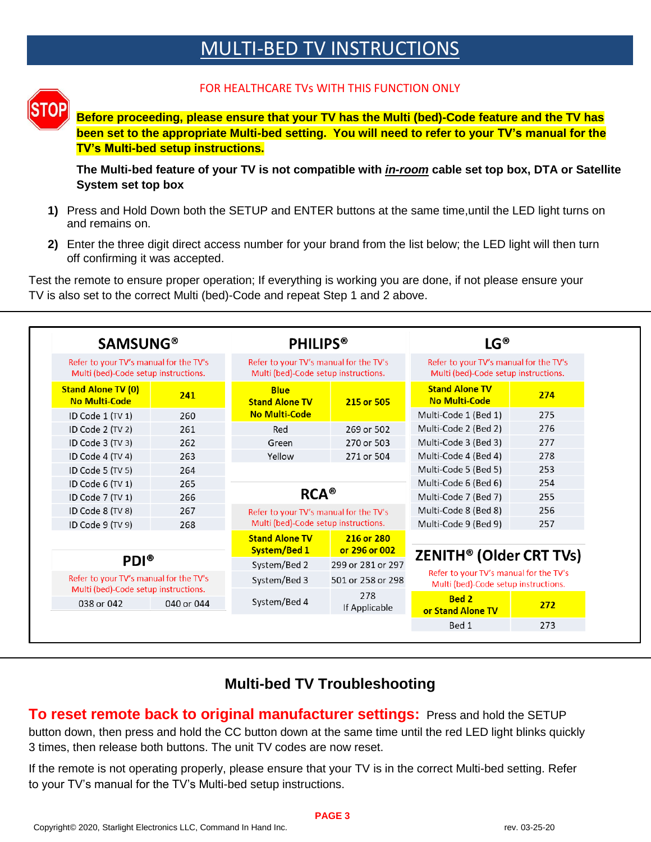## MULTI-BED TV INSTRUCTIONS



#### FOR HEALTHCARE TVs WITH THIS FUNCTION ONLY

**Before proceeding, please ensure that your TV has the Multi (bed)-Code feature and the TV has been set to the appropriate Multi-bed setting. You will need to refer to your TV's manual for the TV's Multi-bed setup instructions.**

**The Multi-bed feature of your TV is not compatible with** *in-room* **cable set top box, DTA or Satellite System set top box**

- **1)** Press and Hold Down both the SETUP and ENTER buttons at the same time,until the LED light turns on and remains on.
- **2)** Enter the three digit direct access number for your brand from the list below; the LED light will then turn off confirming it was accepted.

Test the remote to ensure proper operation; If everything is working you are done, if not please ensure your TV is also set to the correct Multi (bed)-Code and repeat Step 1 and 2 above.

| <b>SAMSUNG®</b>                                                                |            | <b>PHILIPS®</b>                                                                |                             | LG®                                                                            |     |  |
|--------------------------------------------------------------------------------|------------|--------------------------------------------------------------------------------|-----------------------------|--------------------------------------------------------------------------------|-----|--|
| Refer to your TV's manual for the TV's<br>Multi (bed)-Code setup instructions. |            | Refer to your TV's manual for the TV's<br>Multi (bed)-Code setup instructions. |                             | Refer to your TV's manual for the TV's<br>Multi (bed)-Code setup instructions. |     |  |
| <b>Stand Alone TV (0)</b><br><b>No Multi-Code</b>                              | 241        | <b>Blue</b><br><b>Stand Alone TV</b>                                           | 215 or 505                  | <b>Stand Alone TV</b><br><b>No Multi-Code</b>                                  | 274 |  |
| ID Code 1 (TV 1)                                                               | 260        | <b>No Multi-Code</b>                                                           |                             | Multi-Code 1 (Bed 1)                                                           | 275 |  |
| ID Code 2 (TV 2)                                                               | 261        | Red                                                                            | 269 or 502                  | Multi-Code 2 (Bed 2)                                                           | 276 |  |
| ID Code 3 (TV 3)                                                               | 262        | Green                                                                          | 270 or 503                  | Multi-Code 3 (Bed 3)                                                           | 277 |  |
| ID Code 4 (TV 4)                                                               | 263        | Yellow                                                                         | 271 or 504                  | Multi-Code 4 (Bed 4)                                                           | 278 |  |
| ID Code 5 (TV 5)                                                               | 264        |                                                                                |                             | Multi-Code 5 (Bed 5)                                                           | 253 |  |
| ID Code $6$ (TV 1)                                                             | 265        |                                                                                |                             | Multi-Code 6 (Bed 6)                                                           | 254 |  |
| ID Code 7 (TV 1)                                                               | 266        | $RCA^{\circledcirc}$                                                           |                             | Multi-Code 7 (Bed 7)                                                           | 255 |  |
| ID Code 8 (TV 8)                                                               | 267        | Refer to your TV's manual for the TV's                                         |                             | Multi-Code 8 (Bed 8)                                                           | 256 |  |
| ID Code 9 (TV 9)                                                               | 268        | Multi (bed)-Code setup instructions.                                           |                             | Multi-Code 9 (Bed 9)                                                           | 257 |  |
| <b>PDI®</b>                                                                    |            | <b>Stand Alone TV</b><br>System/Bed 1                                          | 216 or 280<br>or 296 or 002 | ZENITH <sup>®</sup> (Older CRT TVs)                                            |     |  |
|                                                                                |            | System/Bed 2                                                                   | 299 or 281 or 297           |                                                                                |     |  |
| Refer to your TV's manual for the TV's<br>Multi (bed)-Code setup instructions. |            | System/Bed 3                                                                   | 501 or 258 or 298           | Refer to your TV's manual for the TV's<br>Multi (bed)-Code setup instructions. |     |  |
| 038 or 042                                                                     | 040 or 044 | System/Bed 4                                                                   | 278<br>If Applicable        | Bed 2<br>or Stand Alone TV                                                     | 272 |  |
|                                                                                |            |                                                                                |                             | Bed 1                                                                          | 273 |  |

### **Multi-bed TV Troubleshooting**

**To reset remote back to original manufacturer settings:** Press and hold the SETUP button down, then press and hold the CC button down at the same time until the red LED light blinks quickly 3 times, then release both buttons. The unit TV codes are now reset.

If the remote is not operating properly, please ensure that your TV is in the correct Multi-bed setting. Refer to your TV's manual for the TV's Multi-bed setup instructions.